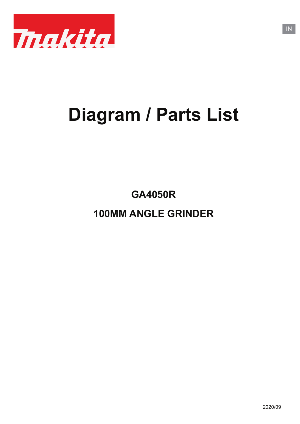

# **Diagram / Parts List**

**100MM ANGLE GRINDER GA4050R**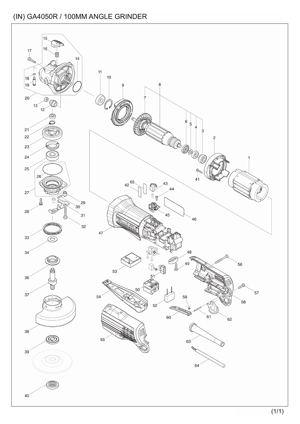### (IN) GA4050R / 100MM ANGLE GRINDER

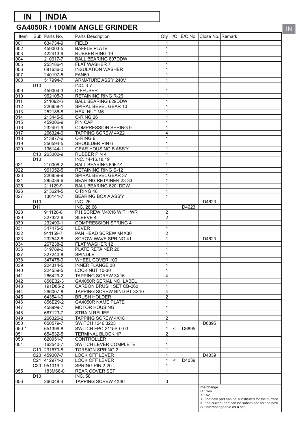## **IN INDIA**

### **GA4050R / 100MM ANGLE GRINDER**

| Item                    |                 | Sub   Parts No.          | Parts Description                                   | Qty                            | I/C     |       | E/C No.   Close No.   Remark |                                                                                                             |
|-------------------------|-----------------|--------------------------|-----------------------------------------------------|--------------------------------|---------|-------|------------------------------|-------------------------------------------------------------------------------------------------------------|
| 001                     |                 | 634734-9                 | <b>FIELD</b>                                        | $\mathbf{1}$                   |         |       |                              |                                                                                                             |
| 002                     |                 | 459003-5                 | <b>BAFFLE PLATE</b>                                 | $\mathbf{1}$                   |         |       |                              |                                                                                                             |
| 003                     |                 | 422413-9                 | <b>RUBBER RING 19</b>                               | 1                              |         |       |                              |                                                                                                             |
| 004                     |                 | 210017-7                 | <b>BALL BEARING 607DDW</b>                          | $\mathbf{1}$                   |         |       |                              |                                                                                                             |
| 005                     |                 | 253186-1                 | <b>FLAT WASHER 7</b>                                | $\mathbf{1}$                   |         |       |                              |                                                                                                             |
| 006                     |                 | 681636-0                 | <b>INSULATION WASHER</b>                            | $\mathbf{1}$                   |         |       |                              |                                                                                                             |
| 007                     |                 | 240197-5                 | <b>FAN60</b>                                        | $\mathbf{1}$                   |         |       |                              |                                                                                                             |
| 008                     | D <sub>10</sub> | 517994-7                 | ARMATURE ASS'Y 240V<br><b>INC. 3-7</b>              | $\mathbf{1}$                   |         |       |                              |                                                                                                             |
| 009                     |                 | 459004-3                 | <b>DIFFUSER</b>                                     | $\mathbf{1}$                   |         |       |                              |                                                                                                             |
| 010                     |                 | 962105-3                 | <b>RETAINING RING R-26</b>                          | $\mathbf{1}$                   |         |       |                              |                                                                                                             |
| 011                     |                 | 211092-6                 | <b>BALL BEARING 629DDW</b>                          | $\mathbf{1}$                   |         |       |                              |                                                                                                             |
| 012                     |                 | 226858-1                 | SPIRAL BEVEL GEAR 10                                | $\mathbf{1}$                   |         |       |                              |                                                                                                             |
| 013                     |                 | 252186-8                 | HEX. NUT M6                                         | $\mathbf{1}$                   |         |       |                              |                                                                                                             |
| 014                     |                 | 213445-5                 | O-RING 26                                           | $\mathbf{1}$                   |         |       |                              |                                                                                                             |
| 015                     |                 | 459006-9                 | PIN CAP                                             | $\mathbf{1}$                   |         |       |                              |                                                                                                             |
| 016                     |                 | 232491-9                 | <b>COMPRESSION SPRING 9</b>                         | $\mathbf{1}$                   |         |       |                              |                                                                                                             |
| 017                     |                 | 266324-6                 | <b>TAPPING SCREW 4X22</b>                           | $\overline{4}$                 |         |       |                              |                                                                                                             |
| 018                     |                 | 213877-6                 | O-RING 6                                            | $\mathbf{1}$                   |         |       |                              |                                                                                                             |
| 019                     |                 | 256594-5                 | SHOULDER PIN 6                                      | $\mathbf{1}$                   |         |       |                              |                                                                                                             |
| $\overline{020}$        |                 | 136144-1                 | <b>GEAR HOUSING B ASS'Y</b>                         | $\mathbf{1}$                   |         |       |                              |                                                                                                             |
|                         |                 | C <sub>10</sub> 263002-9 | <b>RUBBER PIN 4</b>                                 | $\overline{1}$                 |         |       |                              |                                                                                                             |
| 021                     | D <sub>10</sub> | 210006-2                 | INC. 14-16,18,19<br><b>BALL BEARING 696ZZ</b>       | $\mathbf{1}$                   |         |       |                              |                                                                                                             |
| $\overline{022}$        |                 | 961052-5                 | <b>RETAINING RING S-12</b>                          | $\mathbf{1}$                   |         |       |                              |                                                                                                             |
| $\overline{023}$        |                 | 226859-9                 | SPIRAL BEVEL GEAR 37                                | $\mathbf{1}$                   |         |       |                              |                                                                                                             |
| 024                     |                 | 285039-6                 | <b>BEARING RETAINER 23-33</b>                       | $\mathbf{1}$                   |         |       |                              |                                                                                                             |
| $\overline{025}$        |                 | 211129-9                 | BALL BEARING 6201DDW                                | $\overline{1}$                 |         |       |                              |                                                                                                             |
| $\overline{026}$        |                 | 213624-5                 | O RING 48                                           | $\mathbf{1}$                   |         |       |                              |                                                                                                             |
| $\overline{027}$        |                 | 136141-7                 | <b>BEARING BOX A ASS'Y</b>                          | $\mathbf 1$                    |         |       |                              |                                                                                                             |
|                         | D <sub>10</sub> |                          | <b>INC. 26</b>                                      |                                |         |       | D4623                        |                                                                                                             |
|                         | D <sub>11</sub> |                          | INC. 26,66                                          |                                |         | D4623 |                              |                                                                                                             |
| 028                     |                 | 911128-8                 | P.H.SCREW M4X16 WITH WR                             | $\overline{2}$                 |         |       |                              |                                                                                                             |
| $\overline{029}$        |                 | 327322-6                 | SLEEVE 4                                            | $\overline{2}$                 |         |       |                              |                                                                                                             |
| 030                     |                 | 232490-1                 | <b>COMPRESSION SPRING 4</b>                         | 1                              |         |       |                              |                                                                                                             |
| 031                     |                 | 347475-5                 | <b>LEVER</b>                                        | $\mathbf{1}$                   |         |       |                              |                                                                                                             |
| $\overline{032}$<br>033 |                 | 911159-7<br>232542-8     | PAN HEAD SCREW M4X30<br><b>SCROW WAVE SPRING 41</b> | $\overline{2}$<br>$\mathbf{1}$ |         |       | D <sub>4623</sub>            |                                                                                                             |
| 034                     |                 | 267238-2                 | FLAT WASHER 12                                      | $\mathbf{1}$                   |         |       |                              |                                                                                                             |
| 036                     |                 | 319789-2                 | PLATE RETAINER 20                                   | $\mathbf{1}$                   |         |       |                              |                                                                                                             |
| 037                     |                 | 327240-8                 | <b>SPINDLE</b>                                      | $\mathbf 1$                    |         |       |                              |                                                                                                             |
| 038                     |                 | 347478-9                 | WHEEL COVER 100                                     | $\mathbf{1}$                   |         |       |                              |                                                                                                             |
| 039                     |                 | 224314-5                 | <b>INNER FLANGE 30</b>                              | $\mathbf{1}$                   |         |       |                              |                                                                                                             |
| 040                     |                 | 224559-5                 | LOCK NUT 10-30                                      | $\mathbf{1}$                   |         |       |                              |                                                                                                             |
| 041                     |                 | 266429-2                 | TAPPING SCREW 3X16                                  | 4                              |         |       |                              |                                                                                                             |
| 042                     |                 | 856E32-3                 | GA4050R SERIAL NO. LABEL                            | 1                              |         |       |                              |                                                                                                             |
| 043                     |                 | 191D85-2                 | CARBON BRUSH SET CB-260                             | 1                              |         |       |                              |                                                                                                             |
| 044                     |                 | 266007-8                 | TAPPING SCREW BIND PT 3X10                          | $\overline{\mathbf{4}}$        |         |       |                              |                                                                                                             |
| 045                     |                 | 643541-9                 | <b>BRUSH HOLDER</b>                                 | $\overline{2}$                 |         |       |                              |                                                                                                             |
| 046                     |                 | 856E29-2                 | GA4050R NAME PLATE                                  | 1                              |         |       |                              |                                                                                                             |
| 047<br>048              |                 | 458999-7<br>687123-7     | <b>MOTOR HOUSING</b><br>STRAIN RELIEF               | 1<br>$\mathbf{1}$              |         |       |                              |                                                                                                             |
| 049                     |                 | 266326-2                 | TAPPING SCREW 4X18                                  | $\overline{2}$                 |         |       |                              |                                                                                                             |
| 050                     |                 | 650579-7                 | SWITCH 1246.3223                                    | $\mathbf 1$                    |         |       | D6895                        |                                                                                                             |
| $050 - 1$               |                 | 651396-8                 | SWITCH FPC-2115S-0-03                               | $\mathbf{1}$                   | $\,<\,$ | D6895 |                              |                                                                                                             |
| 051                     |                 | 654532-5                 | <b>TERMINAL BLOCK 1P</b>                            | $\overline{c}$                 |         |       |                              |                                                                                                             |
| 053                     |                 | 620951-7                 | <b>CONTROLLER</b>                                   | $\mathbf 1$                    |         |       |                              |                                                                                                             |
| 054                     |                 | 162540-7                 | SWITCH LEVER COMPLETE                               | $\mathbf 1$                    |         |       |                              |                                                                                                             |
|                         |                 | C <sub>10</sub> 231679-8 | <b>TORSION SPRING 2</b>                             | 1                              |         |       |                              |                                                                                                             |
|                         |                 | C20 459007-7             | LOCK OFF LEVER                                      | 1                              |         |       | D4039                        |                                                                                                             |
|                         |                 | C21 412971-3             | LOCK OFF LEVER                                      | $\mathbf{1}$                   | $\,<\,$ | D4039 |                              |                                                                                                             |
|                         |                 | C30 951019-1             | SPRING PIN 2-20                                     | $\mathbf{1}$                   |         |       |                              |                                                                                                             |
| 055                     |                 | 183M68-0                 | <b>REAR COVER SET</b>                               | 1                              |         |       |                              |                                                                                                             |
|                         | D <sub>10</sub> |                          | <b>INC. 58</b>                                      |                                |         |       |                              |                                                                                                             |
| 056                     |                 | 266048-4                 | TAPPING SCREW 4X40                                  | $\overline{3}$                 |         |       |                              |                                                                                                             |
|                         |                 |                          |                                                     |                                |         |       | Interchange<br>O: Yes        |                                                                                                             |
|                         |                 |                          |                                                     |                                |         |       | X: No                        |                                                                                                             |
|                         |                 |                          |                                                     |                                |         |       |                              | <: the new part can be substituted for the current.<br>> : the current part can be substituted for the new. |
|                         |                 |                          |                                                     |                                |         |       |                              | S : Interchangeable as a set.                                                                               |

IN